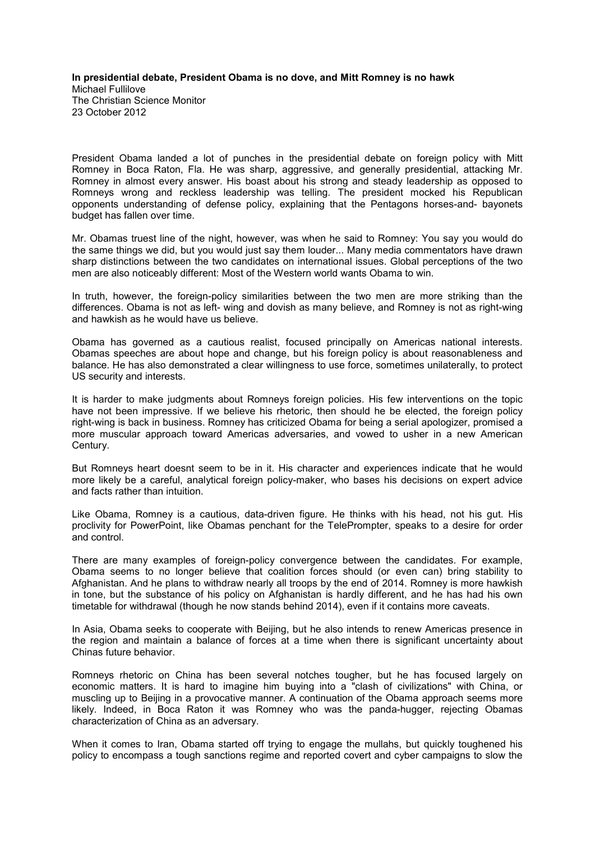**In presidential debate, President Obama is no dove, and Mitt Romney is no hawk** Michael Fullilove The Christian Science Monitor 23 October 2012

President Obama landed a lot of punches in the presidential debate on foreign policy with Mitt Romney in Boca Raton, Fla. He was sharp, aggressive, and generally presidential, attacking Mr. Romney in almost every answer. His boast about his strong and steady leadership as opposed to Romneys wrong and reckless leadership was telling. The president mocked his Republican opponents understanding of defense policy, explaining that the Pentagons horses-and- bayonets budget has fallen over time.

Mr. Obamas truest line of the night, however, was when he said to Romney: You say you would do the same things we did, but you would just say them louder... Many media commentators have drawn sharp distinctions between the two candidates on international issues. Global perceptions of the two men are also noticeably different: Most of the Western world wants Obama to win.

In truth, however, the foreign-policy similarities between the two men are more striking than the differences. Obama is not as left- wing and dovish as many believe, and Romney is not as right-wing and hawkish as he would have us believe.

Obama has governed as a cautious realist, focused principally on Americas national interests. Obamas speeches are about hope and change, but his foreign policy is about reasonableness and balance. He has also demonstrated a clear willingness to use force, sometimes unilaterally, to protect US security and interests.

It is harder to make judgments about Romneys foreign policies. His few interventions on the topic have not been impressive. If we believe his rhetoric, then should he be elected, the foreign policy right-wing is back in business. Romney has criticized Obama for being a serial apologizer, promised a more muscular approach toward Americas adversaries, and vowed to usher in a new American Century.

But Romneys heart doesnt seem to be in it. His character and experiences indicate that he would more likely be a careful, analytical foreign policy-maker, who bases his decisions on expert advice and facts rather than intuition.

Like Obama, Romney is a cautious, data-driven figure. He thinks with his head, not his gut. His proclivity for PowerPoint, like Obamas penchant for the TelePrompter, speaks to a desire for order and control.

There are many examples of foreign-policy convergence between the candidates. For example, Obama seems to no longer believe that coalition forces should (or even can) bring stability to Afghanistan. And he plans to withdraw nearly all troops by the end of 2014. Romney is more hawkish in tone, but the substance of his policy on Afghanistan is hardly different, and he has had his own timetable for withdrawal (though he now stands behind 2014), even if it contains more caveats.

In Asia, Obama seeks to cooperate with Beijing, but he also intends to renew Americas presence in the region and maintain a balance of forces at a time when there is significant uncertainty about Chinas future behavior.

Romneys rhetoric on China has been several notches tougher, but he has focused largely on economic matters. It is hard to imagine him buying into a "clash of civilizations" with China, or muscling up to Beijing in a provocative manner. A continuation of the Obama approach seems more likely. Indeed, in Boca Raton it was Romney who was the panda-hugger, rejecting Obamas characterization of China as an adversary.

When it comes to Iran, Obama started off trying to engage the mullahs, but quickly toughened his policy to encompass a tough sanctions regime and reported covert and cyber campaigns to slow the